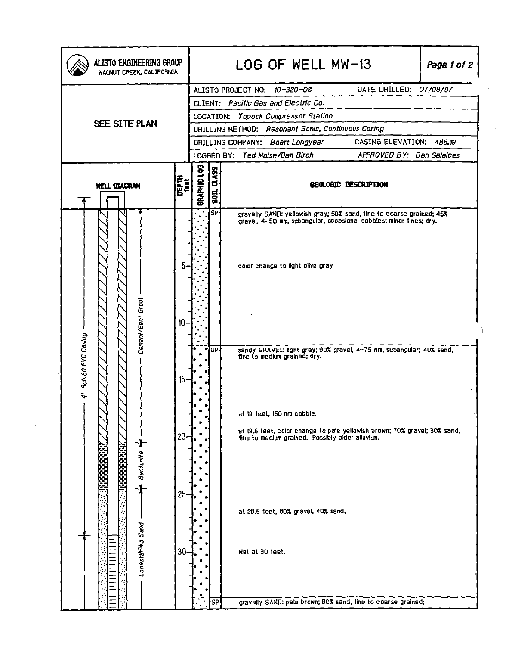| ALISTO ENGINEERING GROUP<br>WALNUT CREEK, CALIFORNIA |                   |        |                                                    |                     | LOG OF WELL MW-13<br>Page 1 of 2                                                                                                           |  |
|------------------------------------------------------|-------------------|--------|----------------------------------------------------|---------------------|--------------------------------------------------------------------------------------------------------------------------------------------|--|
|                                                      |                   |        |                                                    |                     | DATE DRILLED: 07/09/97<br>ALISTO PROJECT NO: 10-320-08                                                                                     |  |
|                                                      |                   |        |                                                    |                     | CLIENT: Pacific Gas and Electric Co.                                                                                                       |  |
| SEE SITE PLAN                                        |                   |        | LOCATION: Topock Compressor Station                |                     |                                                                                                                                            |  |
|                                                      |                   |        | DRILLING METHOD: Resonant Sonic, Continuous Coring |                     |                                                                                                                                            |  |
|                                                      |                   |        |                                                    |                     | CASING ELEVATION: 488.19<br>DRILLING COMPANY: Boart Longyear                                                                               |  |
|                                                      |                   |        |                                                    |                     | LOGGED BY: Ted Moise/Dan Birch<br>APPROVED BY: Dan Salaices                                                                                |  |
| DEPTH<br><b>Liet</b><br><b>WELL DIAGRAN</b>          |                   |        | GRAPHIC LOG                                        | <b>Q.ASS</b><br>50L | GEOLOGIC DESCRIPTION                                                                                                                       |  |
|                                                      |                   |        |                                                    | !sਸ                 | gravelly SAND: yellowish gray; 50% sand, tine to coarse grained; 45%<br>gravel, 4-50 mm, subangular, occasional cobbles; minor fines; dry. |  |
|                                                      |                   | 5      |                                                    |                     | color change to light olive gray                                                                                                           |  |
| 4' Sch.80 PVC Casing                                 | Cement/Bent Grout | $10 -$ |                                                    |                     |                                                                                                                                            |  |
|                                                      |                   |        |                                                    | łGР                 | sandy GRAVEL: light gray; 80% gravel, 4-75 nm, subangular; 40% sand,<br>tine to medium grained; dry.                                       |  |
|                                                      |                   |        |                                                    |                     |                                                                                                                                            |  |
|                                                      |                   | 15     |                                                    |                     |                                                                                                                                            |  |
|                                                      |                   |        |                                                    |                     |                                                                                                                                            |  |
|                                                      |                   |        |                                                    |                     | at 19 teet, 150 mm cobble.                                                                                                                 |  |
|                                                      |                   |        |                                                    |                     |                                                                                                                                            |  |
|                                                      |                   | $20-$  |                                                    |                     | at 19.5 feet, color change to pale yellowish brown; 70% gravel; 30% sand,<br>tine to medium grained. Possibly older alluvium.              |  |
|                                                      |                   |        |                                                    |                     |                                                                                                                                            |  |
|                                                      | <b>Bentante</b>   |        |                                                    |                     |                                                                                                                                            |  |
|                                                      |                   |        |                                                    |                     |                                                                                                                                            |  |
|                                                      |                   | $25 -$ |                                                    |                     |                                                                                                                                            |  |
|                                                      |                   |        |                                                    |                     | at 28.5 feet, 80% gravel, 40% sand,                                                                                                        |  |
|                                                      |                   |        |                                                    |                     |                                                                                                                                            |  |
|                                                      |                   |        |                                                    |                     |                                                                                                                                            |  |
|                                                      | Lonest #43 Send   | $30-$  |                                                    |                     | Wet at 30 feet.                                                                                                                            |  |
|                                                      |                   |        |                                                    |                     |                                                                                                                                            |  |
|                                                      |                   |        |                                                    |                     |                                                                                                                                            |  |
|                                                      |                   |        |                                                    |                     |                                                                                                                                            |  |